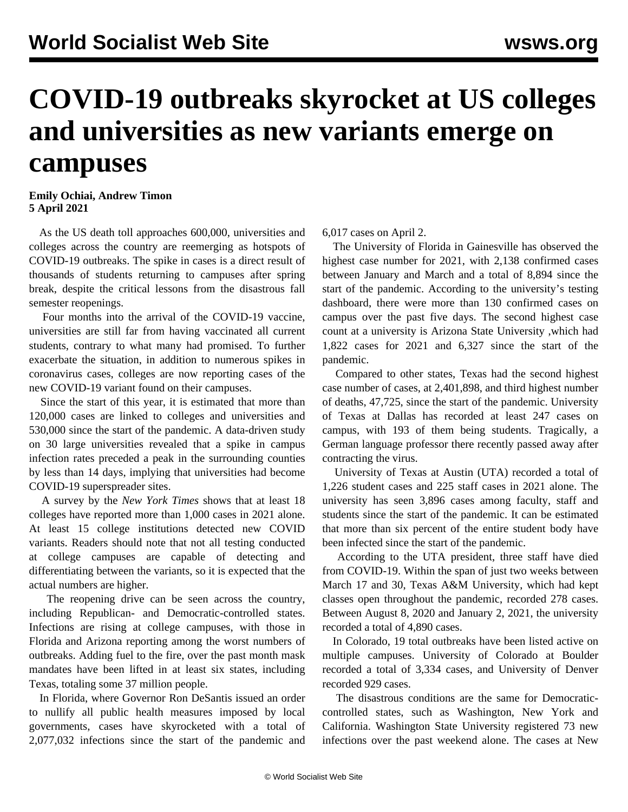## **COVID-19 outbreaks skyrocket at US colleges and universities as new variants emerge on campuses**

## **Emily Ochiai, Andrew Timon 5 April 2021**

 As the US death toll approaches 600,000, universities and colleges across the country are reemerging as hotspots of COVID-19 outbreaks. The spike in cases is a [direct result](/en/articles/2021/03/15/stud-m15.html) of thousands of students returning to campuses after spring break, despite the critical lessons from the disastrous fall semester reopenings.

 Four months into the arrival of the COVID-19 vaccine, universities are still far from having vaccinated all current students, contrary to what many had promised. To further exacerbate the situation, in addition to numerous spikes in coronavirus cases, colleges are now reporting cases of the new COVID-19 variant found on their campuses.

 Since the start of this year, it is estimated that more than 120,000 cases are linked to colleges and universities and 530,000 since the start of the pandemic. A data-driven study on 30 large universities revealed that a spike in campus infection rates preceded a peak in the surrounding counties by less than 14 days, implying that universities had become COVID-19 superspreader sites.

 A survey by the *New York Times* shows that at least 18 colleges have reported more than 1,000 cases in 2021 alone. At least 15 college institutions detected new COVID variants. Readers should note that not all testing conducted at college campuses are capable of detecting and differentiating between the variants, so it is expected that the actual numbers are higher.

 The reopening drive can be seen across the country, including Republican- and Democratic-controlled states. Infections are rising at college campuses, with those in Florida and Arizona reporting among the worst numbers of outbreaks. Adding fuel to the fire, over the past month mask mandates have been lifted in at least six states, including Texas, totaling some 37 million people.

 In Florida, where Governor Ron DeSantis issued an order to nullify all public health measures imposed by local governments, cases have skyrocketed with a total of 2,077,032 infections since the start of the pandemic and 6,017 cases on April 2.

 The University of Florida in Gainesville has observed the highest case number for 2021, with 2,138 confirmed cases between January and March and a total of 8,894 since the start of the pandemic. According to the university's testing dashboard, there were more than 130 confirmed cases on campus over the past five days. The second highest case count at a university is Arizona State University ,which had 1,822 cases for 2021 and 6,327 since the start of the pandemic.

 Compared to other states, Texas had the second highest case number of cases, at 2,401,898, and third highest number of deaths, 47,725, since the start of the pandemic. University of Texas at Dallas has recorded at least 247 cases on campus, with 193 of them being students. Tragically, a German language professor there recently passed away after contracting the virus.

 University of Texas at Austin (UTA) recorded a total of 1,226 student cases and 225 staff cases in 2021 alone. The university has seen 3,896 cases among faculty, staff and students since the start of the pandemic. It can be estimated that more than six percent of the entire student body have been infected since the start of the pandemic.

 According to the UTA president, three staff have died from COVID-19. Within the span of just two weeks between March 17 and 30, Texas A&M University, which had kept classes open throughout the pandemic, recorded 278 cases. Between August 8, 2020 and January 2, 2021, the university recorded a total of 4,890 cases.

 In Colorado, 19 total outbreaks have been listed active on multiple campuses. University of Colorado at Boulder recorded a total of 3,334 cases, and University of Denver recorded 929 cases.

 The disastrous conditions are the same for Democraticcontrolled states, such as Washington, New York and California. Washington State University registered 73 new infections over the past weekend alone. The cases at New